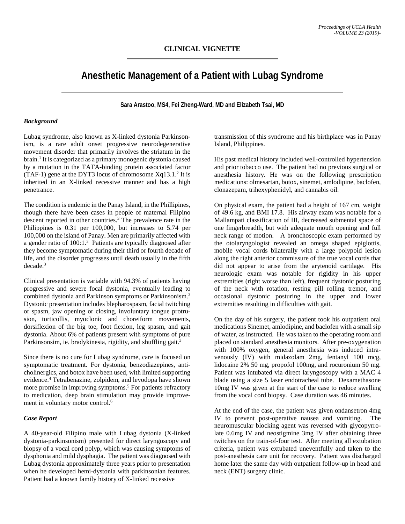# **Anesthetic Management of a Patient with Lubag Syndrome**

**Sara Arastoo, MS4, Fei Zheng-Ward, MD and Elizabeth Tsai, MD**

## *Background*

Lubag syndrome, also known as X-linked dystonia Parkinsonism, is a rare adult onset progressive neurodegenerative movement disorder that primarily involves the striatum in the brain. <sup>1</sup> It is categorized as a primary monogenic dystonia caused by a mutation in the TATA-binding protein associated factor (TAF-1) gene at the DYT3 locus of chromosome  $Xq13.1.^2$  It is inherited in an X-linked recessive manner and has a high penetrance.

The condition is endemic in the Panay Island, in the Phillipines, though there have been cases in people of maternal Filipino descent reported in other countries. <sup>3</sup> The prevalence rate in the Philippines is 0.31 per 100,000, but increases to 5.74 per 100,000 on the island of Panay. Men are primarily affected with a gender ratio of 100:1. <sup>3</sup> Patients are typically diagnosed after they become symptomatic during their third or fourth decade of life, and the disorder progresses until death usually in the fifth decade. 3

Clinical presentation is variable with 94.3% of patients having progressive and severe focal dystonia, eventually leading to combined dystonia and Parkinson symptoms or Parkinsonism. 3 Dystonic presentation includes blepharospasm, facial twitching or spasm, jaw opening or closing, involuntary tongue protrusion, torticollis, myoclonic and choreiform movements, dorsiflexion of the big toe, foot flexion, leg spasm, and gait dystonia. About 6% of patients present with symptoms of pure Parkinsonsim, ie. bradykinesia, rigidity, and shuffling gait.<sup>3</sup>

Since there is no cure for Lubag syndrome, care is focused on symptomatic treatment. For dystonia, benzodiazepines, anticholinergics, and botox have been used, with limited supporting evidence. <sup>4</sup> Tetrabenazine, zolpidem, and levodopa have shown more promise in improving symptoms. <sup>5</sup> For patients refractory to medication, deep brain stimulation may provide improvement in voluntary motor control. 6

# *Case Report*

A 40-year-old Filipino male with Lubag dystonia (X-linked dystonia-parkinsonism) presented for direct laryngoscopy and biopsy of a vocal cord polyp, which was causing symptoms of dysphonia and mild dysphagia. The patient was diagnosed with Lubag dystonia approximately three years prior to presentation when he developed hemi-dystonia with parkinsonian features. Patient had a known family history of X-linked recessive

transmission of this syndrome and his birthplace was in Panay Island, Philippines.

His past medical history included well-controlled hypertension and prior tobacco use. The patient had no previous surgical or anesthesia history. He was on the following prescription medications: olmesartan, botox, sinemet, amlodipine, baclofen, clonazepam, trihexyphenidyl, and cannabis oil.

On physical exam, the patient had a height of 167 cm, weight of 49.6 kg, and BMI 17.8. His airway exam was notable for a Mallampati classification of III, decreased submental space of one fingerbreadth, but with adequate mouth opening and full neck range of motion. A bronchoscopic exam performed by the otolaryngologist revealed an omega shaped epiglottis, mobile vocal cords bilaterally with a large polypoid lesion along the right anterior commissure of the true vocal cords that did not appear to arise from the arytenoid cartilage. His neurologic exam was notable for rigidity in his upper extremities (right worse than left), frequent dystonic posturing of the neck with rotation, resting pill rolling tremor, and occasional dystonic posturing in the upper and lower extremities resulting in difficulties with gait.

On the day of his surgery, the patient took his outpatient oral medications Sinemet, amlodipine, and baclofen with a small sip of water, as instructed. He was taken to the operating room and placed on standard anesthesia monitors. After pre-oxygenation with 100% oxygen, general anesthesia was induced intravenously (IV) with midazolam 2mg, fentanyl 100 mcg, lidocaine 2% 50 mg, propofol 100mg, and rocuronium 50 mg. Patient was intubated via direct laryngoscopy with a MAC 4 blade using a size 5 laser endotracheal tube. Dexamethasone 10mg IV was given at the start of the case to reduce swelling from the vocal cord biopsy. Case duration was 46 minutes.

At the end of the case, the patient was given ondansetron 4mg IV to prevent post-operative nausea and vomiting. The neuromuscular blocking agent was reversed with glycopyrrolate 0.6mg IV and neostigmine 3mg IV after obtaining three twitches on the train-of-four test. After meeting all extubation criteria, patient was extubated uneventfully and taken to the post-anesthesia care unit for recovery. Patient was discharged home later the same day with outpatient follow-up in head and neck (ENT) surgery clinic.